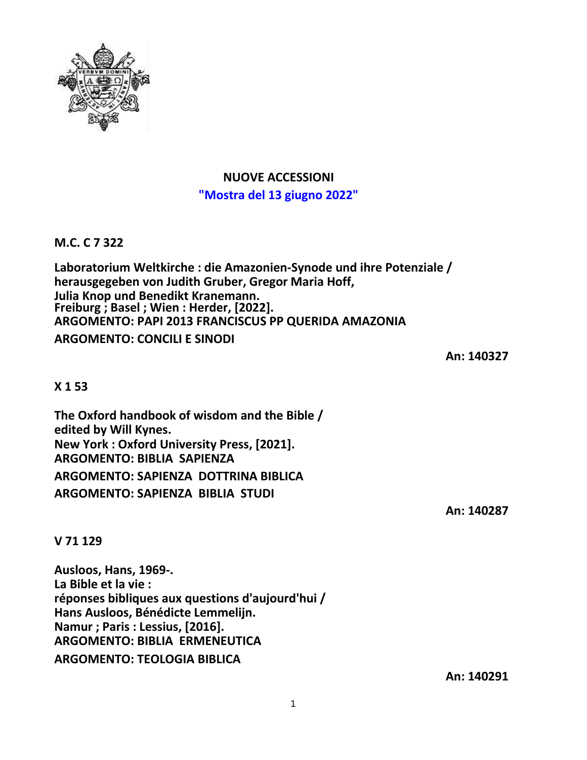

# **NUOVE ACCESSIONI "Mostra del 13 giugno 2022"**

**M.C. C 7 322**

**Laboratorium Weltkirche : die Amazonien-Synode und ihre Potenziale / herausgegeben von Judith Gruber, Gregor Maria Hoff, Julia Knop und Benedikt Kranemann. Freiburg ; Basel ; Wien : Herder, [2022]. ARGOMENTO: PAPI 2013 FRANCISCUS PP QUERIDA AMAZONIA ARGOMENTO: CONCILI E SINODI**

**An: 140327**

## **X 1 53**

**The Oxford handbook of wisdom and the Bible / edited by Will Kynes. New York : Oxford University Press, [2021]. ARGOMENTO: BIBLIA SAPIENZA ARGOMENTO: SAPIENZA DOTTRINA BIBLICA ARGOMENTO: SAPIENZA BIBLIA STUDI**

**An: 140287**

**V 71 129**

**Ausloos, Hans, 1969-. La Bible et la vie : réponses bibliques aux questions d'aujourd'hui / Hans Ausloos, Bénédicte Lemmelijn. Namur ; Paris : Lessius, [2016]. ARGOMENTO: BIBLIA ERMENEUTICA ARGOMENTO: TEOLOGIA BIBLICA**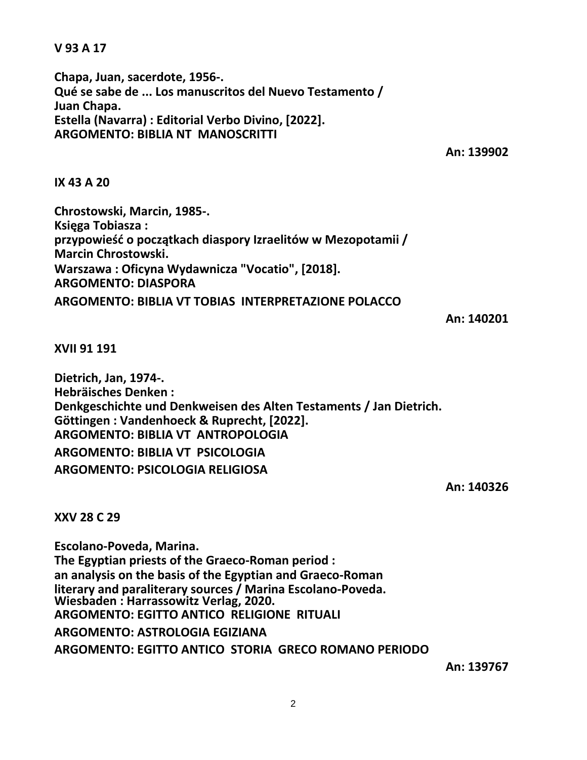**V 93 A 17**

**Chapa, Juan, sacerdote, 1956-. Qué se sabe de ... Los manuscritos del Nuevo Testamento / Juan Chapa. Estella (Navarra) : Editorial Verbo Divino, [2022]. ARGOMENTO: BIBLIA NT MANOSCRITTI**

**An: 139902**

**IX 43 A 20**

**Chrostowski, Marcin, 1985-. Księga Tobiasza : przypowieść o początkach diaspory Izraelitów w Mezopotamii / Marcin Chrostowski. Warszawa : Oficyna Wydawnicza "Vocatio", [2018]. ARGOMENTO: DIASPORA ARGOMENTO: BIBLIA VT TOBIAS INTERPRETAZIONE POLACCO**

**An: 140201**

**XVII 91 191**

**Dietrich, Jan, 1974-. Hebräisches Denken : Denkgeschichte und Denkweisen des Alten Testaments / Jan Dietrich. Göttingen : Vandenhoeck & Ruprecht, [2022]. ARGOMENTO: BIBLIA VT ANTROPOLOGIA ARGOMENTO: BIBLIA VT PSICOLOGIA ARGOMENTO: PSICOLOGIA RELIGIOSA**

**An: 140326**

**XXV 28 C 29**

**Escolano-Poveda, Marina. The Egyptian priests of the Graeco-Roman period : an analysis on the basis of the Egyptian and Graeco-Roman literary and paraliterary sources / Marina Escolano-Poveda. Wiesbaden : Harrassowitz Verlag, 2020. ARGOMENTO: EGITTO ANTICO RELIGIONE RITUALI ARGOMENTO: ASTROLOGIA EGIZIANA ARGOMENTO: EGITTO ANTICO STORIA GRECO ROMANO PERIODO**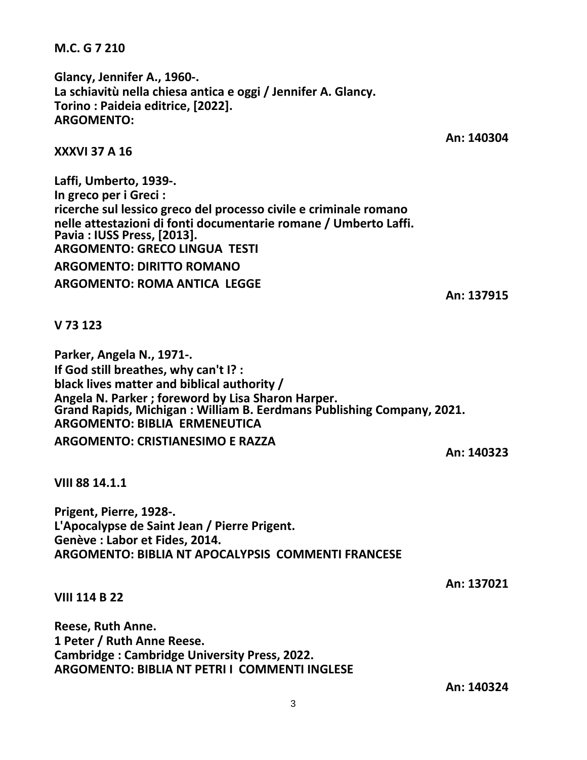**An: 140324**

3

**Reese, Ruth Anne.**

**1 Peter / Ruth Anne Reese.**

**VIII 114 B 22**

**VIII 88 14.1.1**

**Prigent, Pierre, 1928-. L'Apocalypse de Saint Jean / Pierre Prigent. Genève : Labor et Fides, 2014. ARGOMENTO: BIBLIA NT APOCALYPSIS COMMENTI FRANCESE**

**Cambridge : Cambridge University Press, 2022.**

**ARGOMENTO: BIBLIA NT PETRI I COMMENTI INGLESE**

**If God still breathes, why can't I? : black lives matter and biblical authority / Angela N. Parker ; foreword by Lisa Sharon Harper. Grand Rapids, Michigan : William B. Eerdmans Publishing Company, 2021. ARGOMENTO: BIBLIA ERMENEUTICA ARGOMENTO: CRISTIANESIMO E RAZZA An: 140323**

**V 73 123**

**ricerche sul lessico greco del processo civile e criminale romano nelle attestazioni di fonti documentarie romane / Umberto Laffi. Pavia : IUSS Press, [2013]. ARGOMENTO: GRECO LINGUA TESTI ARGOMENTO: DIRITTO ROMANO ARGOMENTO: ROMA ANTICA LEGGE**

# **XXXVI 37 A 16**

**Laffi, Umberto, 1939-. In greco per i Greci :**

**Parker, Angela N., 1971-.**

**Glancy, Jennifer A., 1960-. La schiavitù nella chiesa antica e oggi / Jennifer A. Glancy. Torino : Paideia editrice, [2022]. ARGOMENTO:**

**M.C. G 7 210**

**An: 140304**

**An: 137915**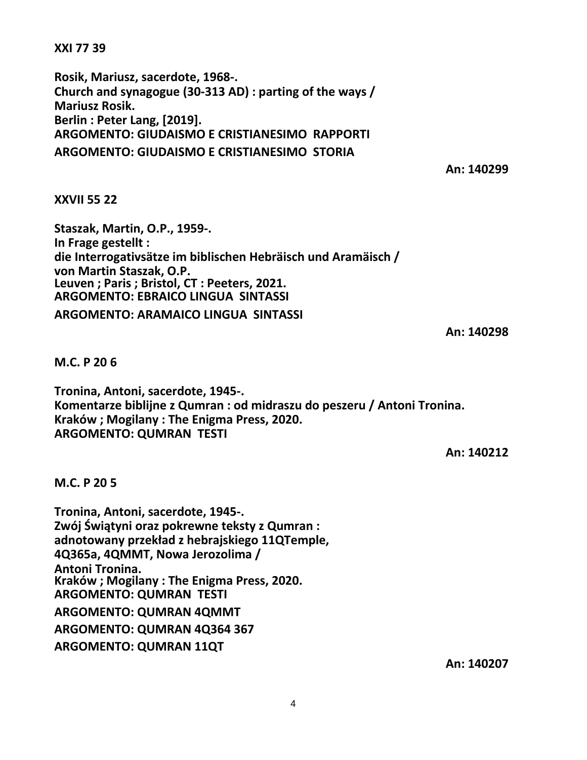**XXI 77 39**

**Rosik, Mariusz, sacerdote, 1968-. Church and synagogue (30-313 AD) : parting of the ways / Mariusz Rosik. Berlin : Peter Lang, [2019]. ARGOMENTO: GIUDAISMO E CRISTIANESIMO RAPPORTI ARGOMENTO: GIUDAISMO E CRISTIANESIMO STORIA**

**An: 140299**

## **XXVII 55 22**

**Staszak, Martin, O.P., 1959-. In Frage gestellt : die Interrogativsätze im biblischen Hebräisch und Aramäisch / von Martin Staszak, O.P. Leuven ; Paris ; Bristol, CT : Peeters, 2021. ARGOMENTO: EBRAICO LINGUA SINTASSI ARGOMENTO: ARAMAICO LINGUA SINTASSI**

**An: 140298**

## **M.C. P 20 6**

**Tronina, Antoni, sacerdote, 1945-. Komentarze biblijne z Qumran : od midraszu do peszeru / Antoni Tronina. Kraków ; Mogilany : The Enigma Press, 2020. ARGOMENTO: QUMRAN TESTI**

**An: 140212**

## **M.C. P 20 5**

**Tronina, Antoni, sacerdote, 1945-. Zwój Świątyni oraz pokrewne teksty z Qumran : adnotowany przekład z hebrajskiego 11QTemple, 4Q365a, 4QMMT, Nowa Jerozolima / Antoni Tronina. Kraków ; Mogilany : The Enigma Press, 2020. ARGOMENTO: QUMRAN TESTI ARGOMENTO: QUMRAN 4QMMT ARGOMENTO: QUMRAN 4Q364 367 ARGOMENTO: QUMRAN 11QT**